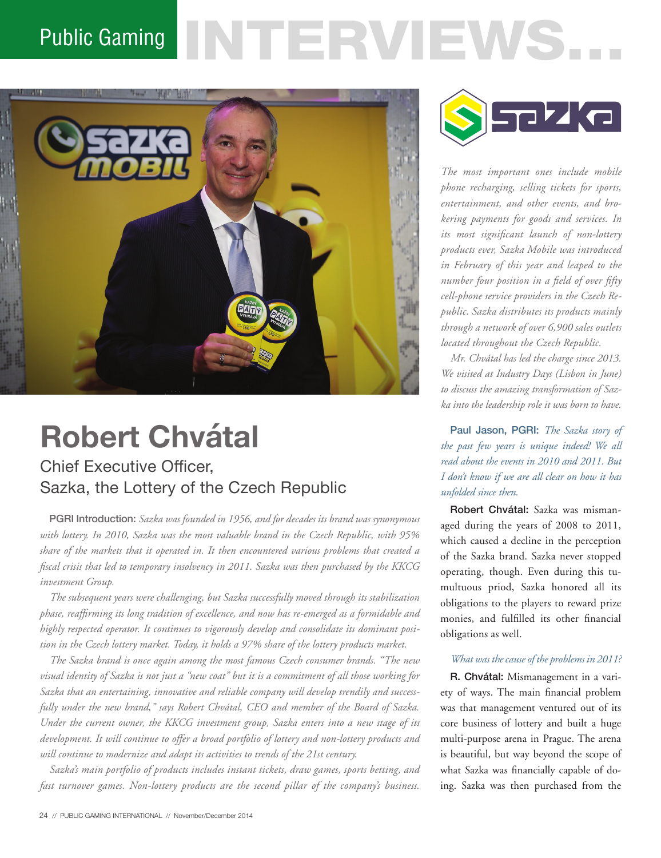## **VTERVIEWS.** Public Gaming



# **Robert Chvátal**

### Chief Executive Officer, Sazka, the Lottery of the Czech Republic

PGRI Introduction: *Sazka was founded in 1956, and for decades its brand was synonymous with lottery. In 2010, Sazka was the most valuable brand in the Czech Republic, with 95% share of the markets that it operated in. It then encountered various problems that created a fiscal crisis that led to temporary insolvency in 2011. Sazka was then purchased by the KKCG investment Group.*

*The subsequent years were challenging, but Sazka successfully moved through its stabilization phase, reaffirming its long tradition of excellence, and now has re-emerged as a formidable and highly respected operator. It continues to vigorously develop and consolidate its dominant position in the Czech lottery market. Today, it holds a 97% share of the lottery products market.*

*The Sazka brand is once again among the most famous Czech consumer brands. "The new visual identity of Sazka is not just a "new coat" but it is a commitment of all those working for Sazka that an entertaining, innovative and reliable company will develop trendily and successfully under the new brand," says Robert Chvátal, CEO and member of the Board of Sazka. Under the current owner, the KKCG investment group, Sazka enters into a new stage of its development. It will continue to offer a broad portfolio of lottery and non-lottery products and will continue to modernize and adapt its activities to trends of the 21st century.*

*Sazka's main portfolio of products includes instant tickets, draw games, sports betting, and fast turnover games. Non-lottery products are the second pillar of the company's business.* 



*The most important ones include mobile phone recharging, selling tickets for sports, entertainment, and other events, and brokering payments for goods and services. In its most significant launch of non-lottery products ever, Sazka Mobile was introduced in February of this year and leaped to the number four position in a field of over fifty cell-phone service providers in the Czech Republic. Sazka distributes its products mainly through a network of over 6,900 sales outlets located throughout the Czech Republic.* 

*Mr. Chvátal has led the charge since 2013. We visited at Industry Days (Lisbon in June) to discuss the amazing transformation of Sazka into the leadership role it was born to have.*

Paul Jason, PGRI: *The Sazka story of the past few years is unique indeed! We all read about the events in 2010 and 2011. But I don't know if we are all clear on how it has unfolded since then.* 

Robert Chvátal: Sazka was mismanaged during the years of 2008 to 2011, which caused a decline in the perception of the Sazka brand. Sazka never stopped operating, though. Even during this tumultuous priod, Sazka honored all its obligations to the players to reward prize monies, and fulfilled its other financial obligations as well.

#### *What was the cause of the problems in 2011?*

R. Chvátal: Mismanagement in a variety of ways. The main financial problem was that management ventured out of its core business of lottery and built a huge multi-purpose arena in Prague. The arena is beautiful, but way beyond the scope of what Sazka was financially capable of doing. Sazka was then purchased from the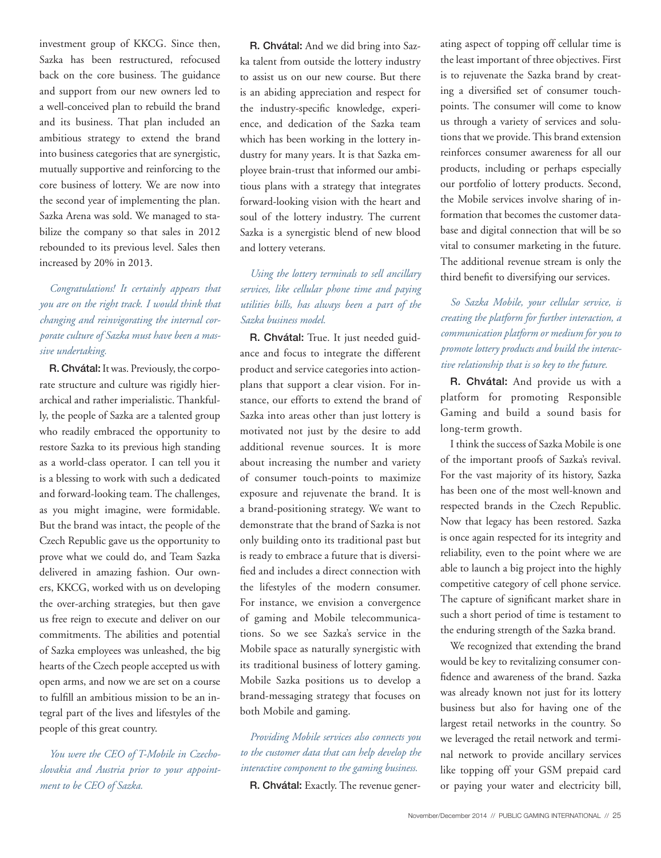investment group of KKCG. Since then, Sazka has been restructured, refocused back on the core business. The guidance and support from our new owners led to a well-conceived plan to rebuild the brand and its business. That plan included an ambitious strategy to extend the brand into business categories that are synergistic, mutually supportive and reinforcing to the core business of lottery. We are now into the second year of implementing the plan. Sazka Arena was sold. We managed to stabilize the company so that sales in 2012 rebounded to its previous level. Sales then increased by 20% in 2013.

#### *Congratulations! It certainly appears that you are on the right track. I would think that changing and reinvigorating the internal corporate culture of Sazka must have been a massive undertaking.*

R. Chvátal: It was. Previously, the corporate structure and culture was rigidly hierarchical and rather imperialistic. Thankfully, the people of Sazka are a talented group who readily embraced the opportunity to restore Sazka to its previous high standing as a world-class operator. I can tell you it is a blessing to work with such a dedicated and forward-looking team. The challenges, as you might imagine, were formidable. But the brand was intact, the people of the Czech Republic gave us the opportunity to prove what we could do, and Team Sazka delivered in amazing fashion. Our owners, KKCG, worked with us on developing the over-arching strategies, but then gave us free reign to execute and deliver on our commitments. The abilities and potential of Sazka employees was unleashed, the big hearts of the Czech people accepted us with open arms, and now we are set on a course to fulfill an ambitious mission to be an integral part of the lives and lifestyles of the people of this great country.

*You were the CEO of T-Mobile in Czechoslovakia and Austria prior to your appointment to be CEO of Sazka.* 

R. Chvátal: And we did bring into Sazka talent from outside the lottery industry to assist us on our new course. But there is an abiding appreciation and respect for the industry-specific knowledge, experience, and dedication of the Sazka team which has been working in the lottery industry for many years. It is that Sazka employee brain-trust that informed our ambitious plans with a strategy that integrates forward-looking vision with the heart and soul of the lottery industry. The current Sazka is a synergistic blend of new blood and lottery veterans.

#### *Using the lottery terminals to sell ancillary services, like cellular phone time and paying utilities bills, has always been a part of the Sazka business model.*

R. Chvátal: True. It just needed guidance and focus to integrate the different product and service categories into actionplans that support a clear vision. For instance, our efforts to extend the brand of Sazka into areas other than just lottery is motivated not just by the desire to add additional revenue sources. It is more about increasing the number and variety of consumer touch-points to maximize exposure and rejuvenate the brand. It is a brand-positioning strategy. We want to demonstrate that the brand of Sazka is not only building onto its traditional past but is ready to embrace a future that is diversified and includes a direct connection with the lifestyles of the modern consumer. For instance, we envision a convergence of gaming and Mobile telecommunications. So we see Sazka's service in the Mobile space as naturally synergistic with its traditional business of lottery gaming. Mobile Sazka positions us to develop a brand-messaging strategy that focuses on both Mobile and gaming.

*Providing Mobile services also connects you to the customer data that can help develop the interactive component to the gaming business.*  R. Chvátal: Exactly. The revenue generating aspect of topping off cellular time is the least important of three objectives. First is to rejuvenate the Sazka brand by creating a diversified set of consumer touchpoints. The consumer will come to know us through a variety of services and solutions that we provide. This brand extension reinforces consumer awareness for all our products, including or perhaps especially our portfolio of lottery products. Second, the Mobile services involve sharing of information that becomes the customer database and digital connection that will be so vital to consumer marketing in the future. The additional revenue stream is only the third benefit to diversifying our services.

#### *So Sazka Mobile, your cellular service, is creating the platform for further interaction, a communication platform or medium for you to promote lottery products and build the interactive relationship that is so key to the future.*

R. Chvátal: And provide us with a platform for promoting Responsible Gaming and build a sound basis for long-term growth.

I think the success of Sazka Mobile is one of the important proofs of Sazka's revival. For the vast majority of its history, Sazka has been one of the most well-known and respected brands in the Czech Republic. Now that legacy has been restored. Sazka is once again respected for its integrity and reliability, even to the point where we are able to launch a big project into the highly competitive category of cell phone service. The capture of significant market share in such a short period of time is testament to the enduring strength of the Sazka brand.

We recognized that extending the brand would be key to revitalizing consumer confidence and awareness of the brand. Sazka was already known not just for its lottery business but also for having one of the largest retail networks in the country. So we leveraged the retail network and terminal network to provide ancillary services like topping off your GSM prepaid card or paying your water and electricity bill,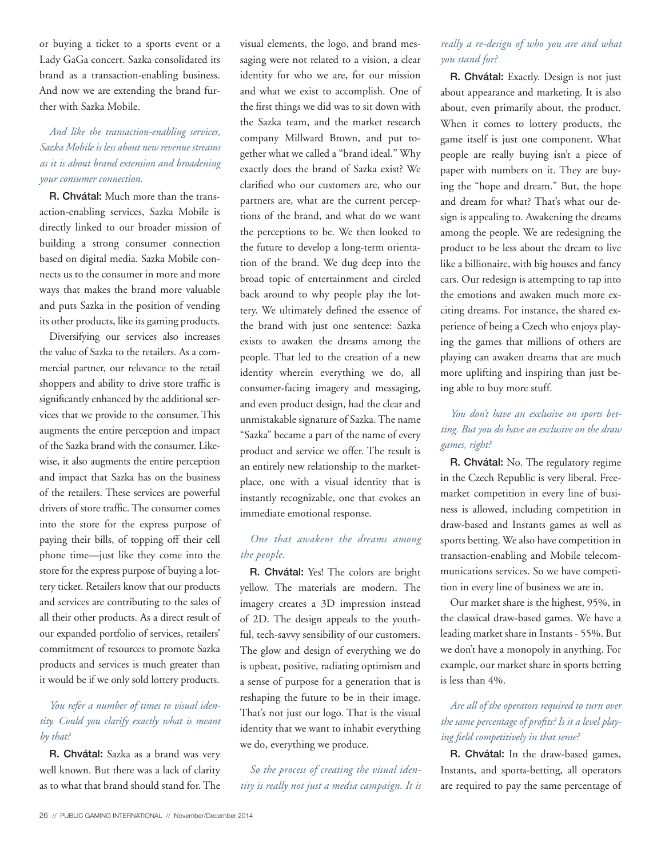or buying a ticket to a sports event or a Lady GaGa concert. Sazka consolidated its brand as a transaction-enabling business. And now we are extending the brand further with Sazka Mobile.

#### *And like the transaction-enabling services, Sazka Mobile is less about new revenue streams as it is about brand extension and broadening your consumer connection.*

R. Chvátal: Much more than the transaction-enabling services, Sazka Mobile is directly linked to our broader mission of building a strong consumer connection based on digital media. Sazka Mobile connects us to the consumer in more and more ways that makes the brand more valuable and puts Sazka in the position of vending its other products, like its gaming products.

Diversifying our services also increases the value of Sazka to the retailers. As a commercial partner, our relevance to the retail shoppers and ability to drive store traffic is significantly enhanced by the additional services that we provide to the consumer. This augments the entire perception and impact of the Sazka brand with the consumer. Likewise, it also augments the entire perception and impact that Sazka has on the business of the retailers. These services are powerful drivers of store traffic. The consumer comes into the store for the express purpose of paying their bills, of topping off their cell phone time—just like they come into the store for the express purpose of buying a lottery ticket. Retailers know that our products and services are contributing to the sales of all their other products. As a direct result of our expanded portfolio of services, retailers' commitment of resources to promote Sazka products and services is much greater than it would be if we only sold lottery products.

#### *You refer a number of times to visual identity. Could you clarify exactly what is meant by that?*

R. Chvátal: Sazka as a brand was very well known. But there was a lack of clarity as to what that brand should stand for. The visual elements, the logo, and brand messaging were not related to a vision, a clear identity for who we are, for our mission and what we exist to accomplish. One of the first things we did was to sit down with the Sazka team, and the market research company Millward Brown, and put together what we called a "brand ideal." Why exactly does the brand of Sazka exist? We clarified who our customers are, who our partners are, what are the current perceptions of the brand, and what do we want the perceptions to be. We then looked to the future to develop a long-term orientation of the brand. We dug deep into the broad topic of entertainment and circled back around to why people play the lottery. We ultimately defined the essence of the brand with just one sentence: Sazka exists to awaken the dreams among the people. That led to the creation of a new identity wherein everything we do, all consumer-facing imagery and messaging, and even product design, had the clear and unmistakable signature of Sazka. The name "Sazka" became a part of the name of every product and service we offer. The result is an entirely new relationship to the marketplace, one with a visual identity that is instantly recognizable, one that evokes an immediate emotional response.

#### *One that awakens the dreams among the people.*

R. Chvátal: Yes! The colors are bright yellow. The materials are modern. The imagery creates a 3D impression instead of 2D. The design appeals to the youthful, tech-savvy sensibility of our customers. The glow and design of everything we do is upbeat, positive, radiating optimism and a sense of purpose for a generation that is reshaping the future to be in their image. That's not just our logo. That is the visual identity that we want to inhabit everything we do, everything we produce.

*So the process of creating the visual identity is really not just a media campaign. It is* 

#### *really a re-design of who you are and what you stand for?*

R. Chvátal: Exactly. Design is not just about appearance and marketing. It is also about, even primarily about, the product. When it comes to lottery products, the game itself is just one component. What people are really buying isn't a piece of paper with numbers on it. They are buying the "hope and dream." But, the hope and dream for what? That's what our design is appealing to. Awakening the dreams among the people. We are redesigning the product to be less about the dream to live like a billionaire, with big houses and fancy cars. Our redesign is attempting to tap into the emotions and awaken much more exciting dreams. For instance, the shared experience of being a Czech who enjoys playing the games that millions of others are playing can awaken dreams that are much more uplifting and inspiring than just being able to buy more stuff.

#### *You don't have an exclusive on sports betting. But you do have an exclusive on the draw games, right?*

R. Chvátal: No. The regulatory regime in the Czech Republic is very liberal. Freemarket competition in every line of business is allowed, including competition in draw-based and Instants games as well as sports betting. We also have competition in transaction-enabling and Mobile telecommunications services. So we have competition in every line of business we are in.

Our market share is the highest, 95%, in the classical draw-based games. We have a leading market share in Instants - 55%. But we don't have a monopoly in anything. For example, our market share in sports betting is less than 4%.

#### *Are all of the operators required to turn over the same percentage of profits? Is it a level playing field competitively in that sense?*

R. Chvátal: In the draw-based games, Instants, and sports-betting, all operators are required to pay the same percentage of